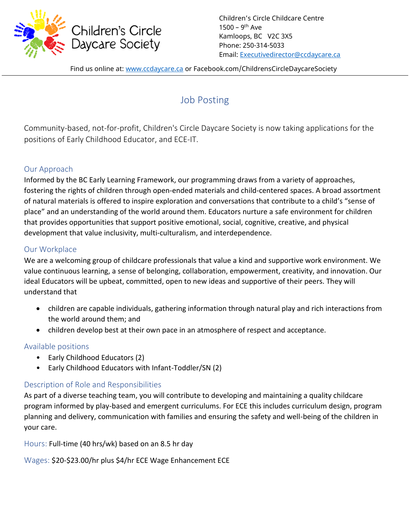

Children's Circle Childcare Centre 1500 - 9<sup>th</sup> Ave Kamloops, BC V2C 3X5 Phone: 250-314-5033 Email: [Executivedirector@ccdaycare.ca](mailto:Executivedirector@ccdaycare.ca)

Find us online at: [www.ccdaycare.ca](http://www.ccdaycare.ca/) or Facebook.com/ChildrensCircleDaycareSociety

# Job Posting

Community-based, not-for-profit, Children's Circle Daycare Society is now taking applications for the positions of Early Childhood Educator, and ECE-IT.

## Our Approach

Informed by the BC Early Learning Framework, our programming draws from a variety of approaches, fostering the rights of children through open-ended materials and child-centered spaces. A broad assortment of natural materials is offered to inspire exploration and conversations that contribute to a child's "sense of place" and an understanding of the world around them. Educators nurture a safe environment for children that provides opportunities that support positive emotional, social, cognitive, creative, and physical development that value inclusivity, multi-culturalism, and interdependence.

## Our Workplace

We are a welcoming group of childcare professionals that value a kind and supportive work environment. We value continuous learning, a sense of belonging, collaboration, empowerment, creativity, and innovation. Our ideal Educators will be upbeat, committed, open to new ideas and supportive of their peers. They will understand that

- children are capable individuals, gathering information through natural play and rich interactions from the world around them; and
- children develop best at their own pace in an atmosphere of respect and acceptance.

## Available positions

- Early Childhood Educators (2)
- Early Childhood Educators with Infant-Toddler/SN (2)

## Description of Role and Responsibilities

As part of a diverse teaching team, you will contribute to developing and maintaining a quality childcare program informed by play-based and emergent curriculums. For ECE this includes curriculum design, program planning and delivery, communication with families and ensuring the safety and well-being of the children in your care.

Hours: Full-time (40 hrs/wk) based on an 8.5 hr day

Wages: \$20-\$23.00/hr plus \$4/hr ECE Wage Enhancement ECE